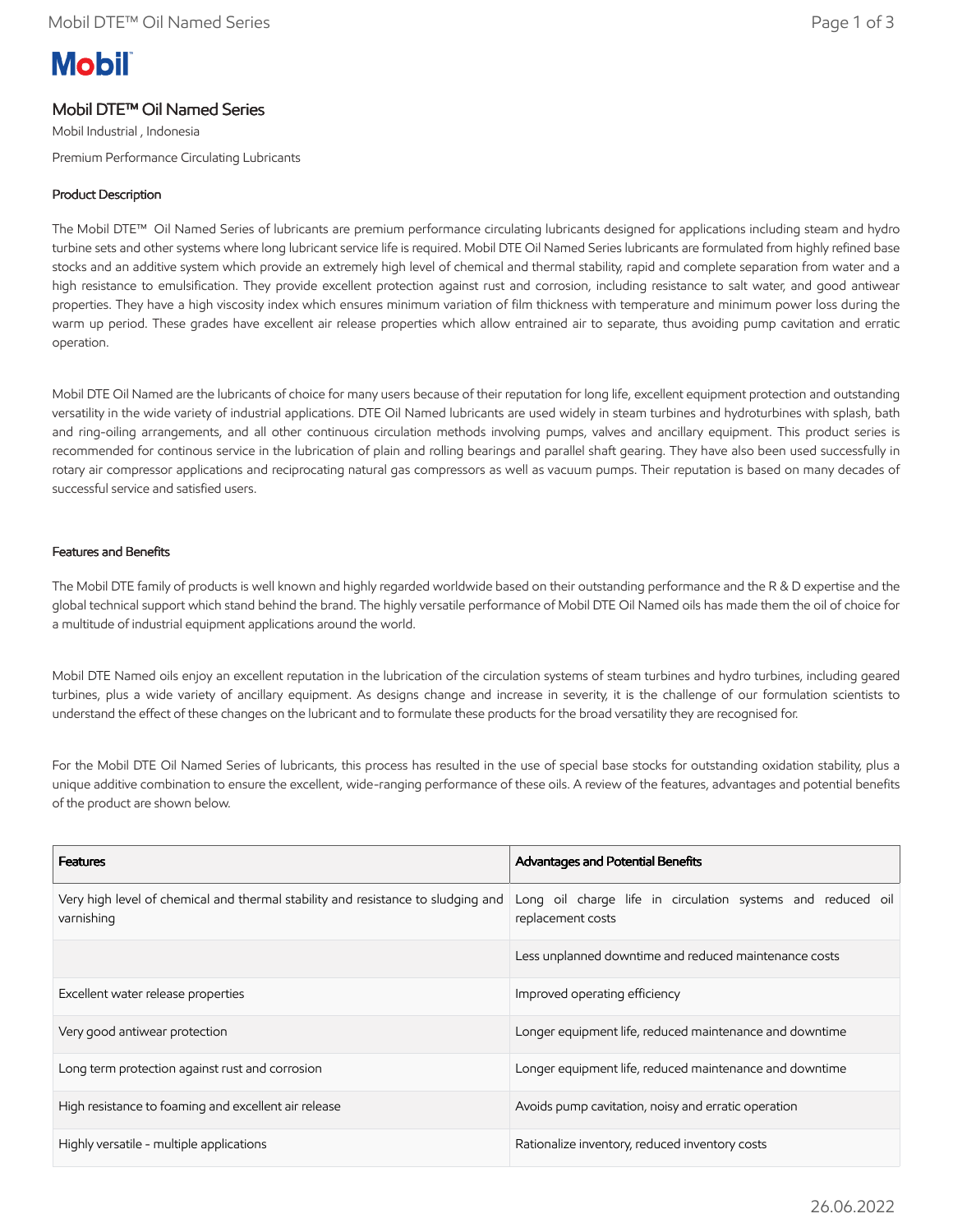# **Mobil**

# Mobil DTE™ Oil Named Series

Mobil Industrial , Indonesia Premium Performance Circulating Lubricants

### Product Description

The Mobil DTE™ Oil Named Series of lubricants are premium performance circulating lubricants designed for applications including steam and hydro turbine sets and other systems where long lubricant service life is required. Mobil DTE Oil Named Series lubricants are formulated from highly refined base stocks and an additive system which provide an extremely high level of chemical and thermal stability, rapid and complete separation from water and a high resistance to emulsification. They provide excellent protection against rust and corrosion, including resistance to salt water, and good antiwear properties. They have a high viscosity index which ensures minimum variation of film thickness with temperature and minimum power loss during the warm up period. These grades have excellent air release properties which allow entrained air to separate, thus avoiding pump cavitation and erratic operation.

Mobil DTE Oil Named are the lubricants of choice for many users because of their reputation for long life, excellent equipment protection and outstanding versatility in the wide variety of industrial applications. DTE Oil Named lubricants are used widely in steam turbines and hydroturbines with splash, bath and ring-oiling arrangements, and all other continuous circulation methods involving pumps, valves and ancillary equipment. This product series is recommended for continous service in the lubrication of plain and rolling bearings and parallel shaft gearing. They have also been used successfully in rotary air compressor applications and reciprocating natural gas compressors as well as vacuum pumps. Their reputation is based on many decades of successful service and satisfied users.

#### Features and Benefits

The Mobil DTE family of products is well known and highly regarded worldwide based on their outstanding performance and the R & D expertise and the global technical support which stand behind the brand. The highly versatile performance of Mobil DTE Oil Named oils has made them the oil of choice for a multitude of industrial equipment applications around the world.

Mobil DTE Named oils enjoy an excellent reputation in the lubrication of the circulation systems of steam turbines and hydro turbines, including geared turbines, plus a wide variety of ancillary equipment. As designs change and increase in severity, it is the challenge of our formulation scientists to understand the effect of these changes on the lubricant and to formulate these products for the broad versatility they are recognised for.

For the Mobil DTE Oil Named Series of lubricants, this process has resulted in the use of special base stocks for outstanding oxidation stability, plus a unique additive combination to ensure the excellent, wide-ranging performance of these oils. A review of the features, advantages and potential benefits of the product are shown below.

| <b>Features</b>                                                                                | Advantages and Potential Benefits                                                |  |
|------------------------------------------------------------------------------------------------|----------------------------------------------------------------------------------|--|
| Very high level of chemical and thermal stability and resistance to sludging and<br>varnishing | Long oil charge life in circulation systems and reduced oil<br>replacement costs |  |
|                                                                                                | Less unplanned downtime and reduced maintenance costs                            |  |
| Excellent water release properties                                                             | Improved operating efficiency                                                    |  |
| Very good antiwear protection                                                                  | Longer equipment life, reduced maintenance and downtime                          |  |
| Long term protection against rust and corrosion                                                | Longer equipment life, reduced maintenance and downtime                          |  |
| High resistance to foaming and excellent air release                                           | Avoids pump cavitation, noisy and erratic operation                              |  |
| Highly versatile - multiple applications                                                       | Rationalize inventory, reduced inventory costs                                   |  |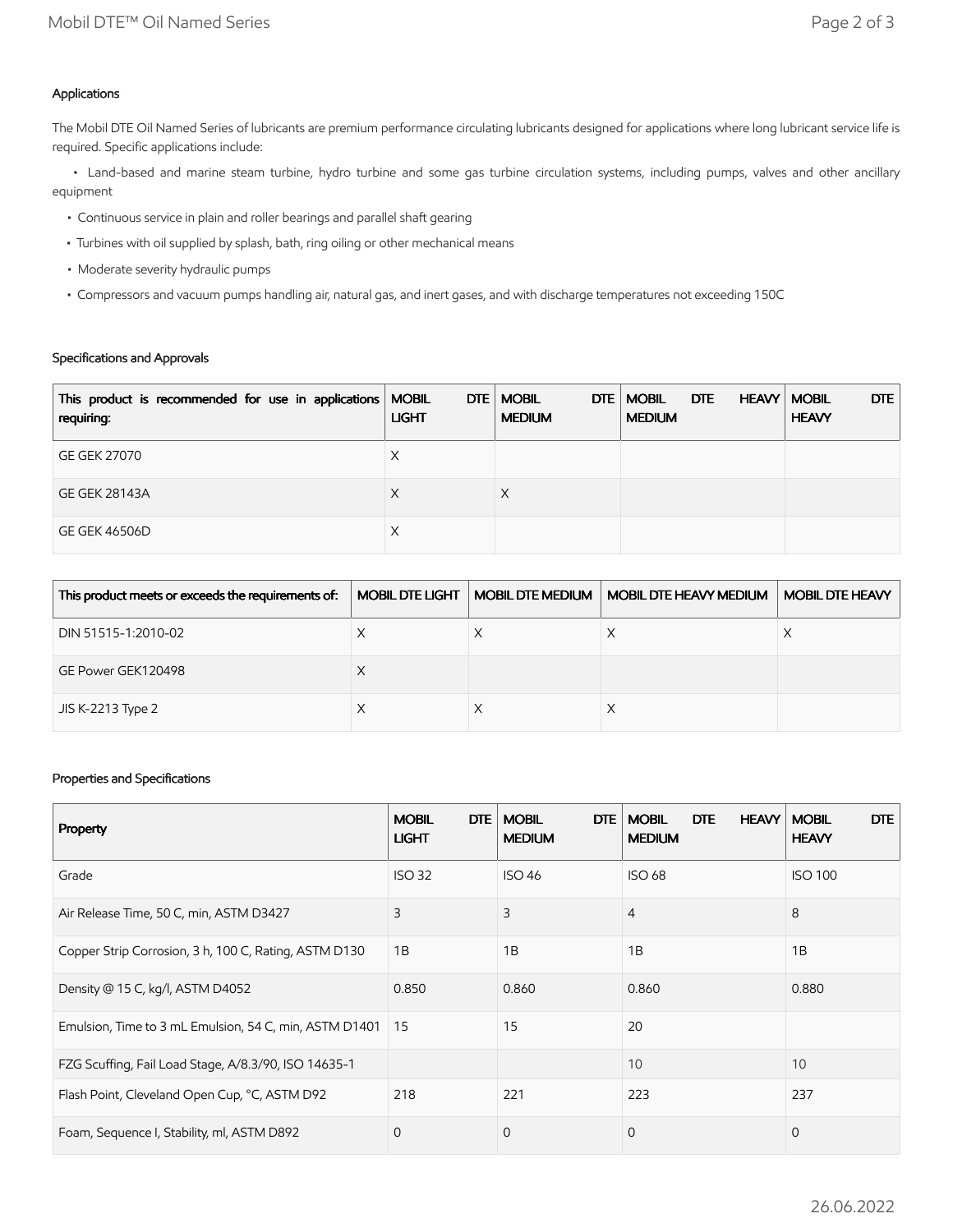# Applications

The Mobil DTE Oil Named Series of lubricants are premium performance circulating lubricants designed for applications where long lubricant service life is required. Specific applications include:

 • Land-based and marine steam turbine, hydro turbine and some gas turbine circulation systems, including pumps, valves and other ancillary equipment

- Continuous service in plain and roller bearings and parallel shaft gearing
- Turbines with oil supplied by splash, bath, ring oiling or other mechanical means
- Moderate severity hydraulic pumps
- Compressors and vacuum pumps handling air, natural gas, and inert gases, and with discharge temperatures not exceeding 150C

# Specifications and Approvals

| This product is recommended for use in applications   MOBIL<br>requiring: | <b>LIGHT</b> | DTE   MOBIL<br>DTE<br><b>MEDIUM</b> | <b>DTE</b><br><b>MOBIL</b><br><b>MEDIUM</b> | <b>HEAVY</b> | DTE  <br><b>MOBIL</b><br><b>HEAVY</b> |
|---------------------------------------------------------------------------|--------------|-------------------------------------|---------------------------------------------|--------------|---------------------------------------|
| GE GEK 27070                                                              | Х            |                                     |                                             |              |                                       |
| <b>GE GEK 28143A</b>                                                      | Х            | X                                   |                                             |              |                                       |
| <b>GE GEK 46506D</b>                                                      | Х            |                                     |                                             |              |                                       |

| This product meets or exceeds the requirements of: | <b>MOBIL DTE LIGHT</b> | <b>MOBIL DTE MEDIUM</b> | MOBIL DTE HEAVY MEDIUM | MOBIL DTE HEAVY |
|----------------------------------------------------|------------------------|-------------------------|------------------------|-----------------|
| DIN 51515-1:2010-02                                |                        |                         |                        |                 |
| GE Power GEK120498                                 |                        |                         |                        |                 |
| JIS K-2213 Type 2                                  |                        |                         |                        |                 |

## Properties and Specifications

| Property                                               | <b>DTE</b><br><b>MOBIL</b><br><b>LIGHT</b> | <b>MOBIL</b><br><b>DTE</b><br><b>MEDIUM</b> | <b>HEAVY</b><br><b>MOBIL</b><br><b>DTE</b><br><b>MEDIUM</b> | DTE<br><b>MOBIL</b><br><b>HEAVY</b> |
|--------------------------------------------------------|--------------------------------------------|---------------------------------------------|-------------------------------------------------------------|-------------------------------------|
| Grade                                                  | <b>ISO 32</b>                              | <b>ISO 46</b>                               | <b>ISO 68</b>                                               | <b>ISO 100</b>                      |
| Air Release Time, 50 C, min, ASTM D3427                | 3                                          | 3                                           | $\overline{4}$                                              | 8                                   |
| Copper Strip Corrosion, 3 h, 100 C, Rating, ASTM D130  | 1B                                         | 1B                                          | 1B                                                          | 1B                                  |
| Density @ 15 C, kg/l, ASTM D4052                       | 0.850                                      | 0.860                                       | 0.860                                                       | 0.880                               |
| Emulsion, Time to 3 mL Emulsion, 54 C, min, ASTM D1401 | 15                                         | 15                                          | 20                                                          |                                     |
| FZG Scuffing, Fail Load Stage, A/8.3/90, ISO 14635-1   |                                            |                                             | 10                                                          | 10                                  |
| Flash Point, Cleveland Open Cup, °C, ASTM D92          | 218                                        | 221                                         | 223                                                         | 237                                 |
| Foam, Sequence I, Stability, ml, ASTM D892             | $\mathbf{0}$                               | $\mathbf{0}$                                | $\mathbf 0$                                                 | 0                                   |